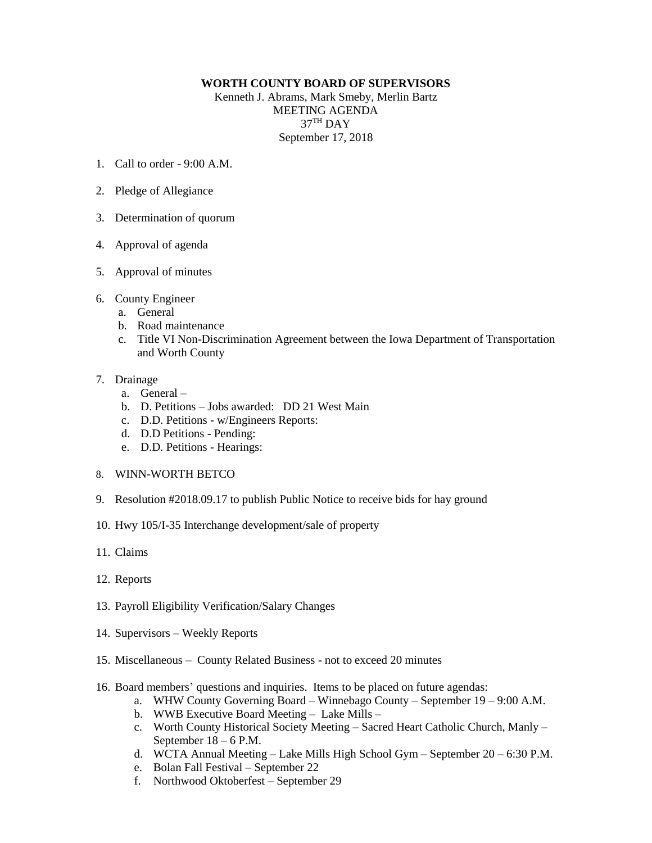## **WORTH COUNTY BOARD OF SUPERVISORS**

Kenneth J. Abrams, Mark Smeby, Merlin Bartz MEETING AGENDA  $37^{\text{TH}}$  DAY September 17, 2018

- 1. Call to order 9:00 A.M.
- 2. Pledge of Allegiance
- 3. Determination of quorum
- 4. Approval of agenda
- 5. Approval of minutes
- 6. County Engineer
	- a. General
	- b. Road maintenance
	- c. Title VI Non-Discrimination Agreement between the Iowa Department of Transportation and Worth County

## 7. Drainage

- a. General –
- b. D. Petitions Jobs awarded: DD 21 West Main
- c. D.D. Petitions w/Engineers Reports:
- d. D.D Petitions Pending:
- e. D.D. Petitions Hearings:
- 8. WINN-WORTH BETCO
- 9. Resolution #2018.09.17 to publish Public Notice to receive bids for hay ground
- 10. Hwy 105/I-35 Interchange development/sale of property
- 11. Claims
- 12. Reports
- 13. Payroll Eligibility Verification/Salary Changes
- 14. Supervisors Weekly Reports
- 15. Miscellaneous County Related Business not to exceed 20 minutes
- 16. Board members' questions and inquiries. Items to be placed on future agendas:
	- a. WHW County Governing Board Winnebago County September 19 9:00 A.M.
	- b. WWB Executive Board Meeting Lake Mills –
	- c. Worth County Historical Society Meeting Sacred Heart Catholic Church, Manly September 18 – 6 P.M.
	- d. WCTA Annual Meeting Lake Mills High School Gym September 20 6:30 P.M.
	- e. Bolan Fall Festival September 22
	- f. Northwood Oktoberfest September 29